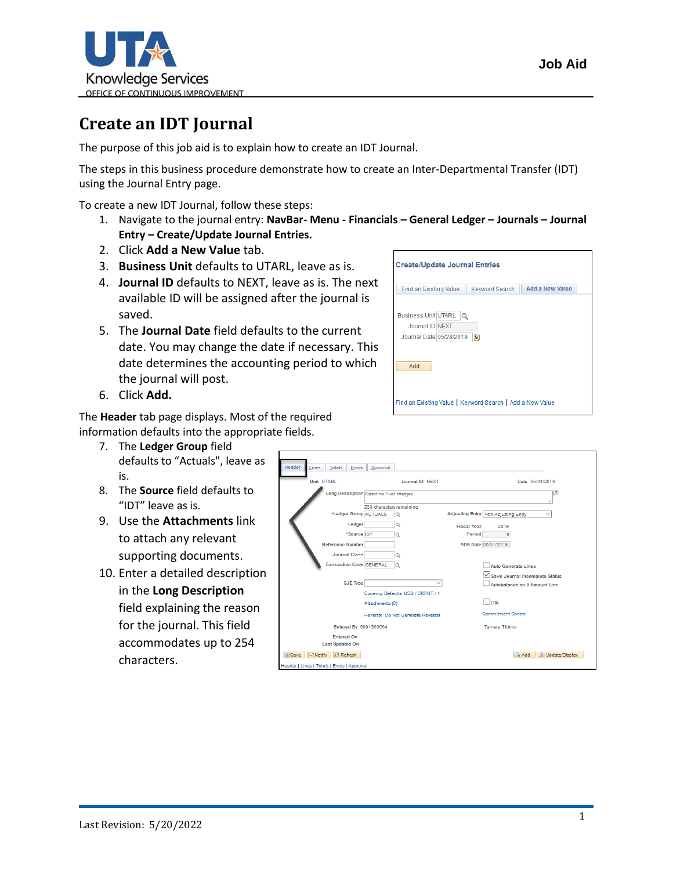

## **Create an IDT Journal**

The purpose of this job aid is to explain how to create an IDT Journal.

The steps in this business procedure demonstrate how to create an Inter-Departmental Transfer (IDT) using the Journal Entry page.

To create a new IDT Journal, follow these steps:

- 1. Navigate to the journal entry: **NavBar- Menu - Financials – General Ledger – Journals – Journal Entry – Create/Update Journal Entries.**
- 2. Click **Add a New Value** tab.
- 3. **Business Unit** defaults to UTARL, leave as is.
- 4. **Journal ID** defaults to NEXT, leave as is. The next available ID will be assigned after the journal is saved.
- 5. The **Journal Date** field defaults to the current date. You may change the date if necessary. This date determines the accounting period to which the journal will post.
- 6. Click **Add.**

The **Header** tab page displays. Most of the required information defaults into the appropriate fields.

- 7. The **Ledger Group** field defaults to "Actuals", leave as is.
- 8. The **Source** field defaults to "IDT" leave as is.
- 9. Use the **Attachments** link to attach any relevant supporting documents.
- 10. Enter a detailed description in the **Long Description**  field explaining the reason for the journal. This field accommodates up to 254 characters.

| Header<br>Totals Errors<br><b>Lines</b> | Approval                                      |                                            |                                       |
|-----------------------------------------|-----------------------------------------------|--------------------------------------------|---------------------------------------|
| <b>Unit UTARL</b>                       | Journal ID NEXT                               |                                            | Date 05/31/2019                       |
|                                         | <b>Long Description Gasoline Fuel charges</b> |                                            | łЛ                                    |
| *Ledger Group ACTUALS                   | 233 characters remaining                      | <b>Adjusting Entry Non-Adjusting Entry</b> | $\checkmark$                          |
| Ledger                                  |                                               | <b>Fiscal Year</b>                         | 2019                                  |
| *Source IDT                             |                                               | Period                                     | 9                                     |
| <b>Reference Number</b>                 |                                               | ADB Date 05/31/2019                        |                                       |
| <b>Journal Class</b>                    |                                               |                                            |                                       |
| <b>Transaction Code GENERAL</b>         |                                               |                                            | <b>Auto Generate Lines</b>            |
|                                         |                                               |                                            | $\vee$ Save Journal Incomplete Status |
| <b>SJE Type</b>                         | $\checkmark$                                  |                                            | Autobalance on 0 Amount Line          |
|                                         | Currency Defaults: USD / CRRNT / 1            |                                            |                                       |
|                                         | Attachments (0)                               | <b>CTA</b>                                 |                                       |
|                                         | Reversal: Do Not Generate Reversal            |                                            | <b>Commitment Control</b>             |
| Entered By 6001363564                   |                                               | <b>Tamara Ticknor</b>                      |                                       |
| <b>Entered On</b>                       |                                               |                                            |                                       |
| <b>Last Updated On</b>                  |                                               |                                            |                                       |

**Create/Update Journal Entries** 

Business Unit UTARL Q Journal ID NEXT Journal Date 05/28/2019 |31

Add

Eind an Existing Value | Keyword Search | Add a New Value

Find an Existing Value | Keyword Search | Add a New Value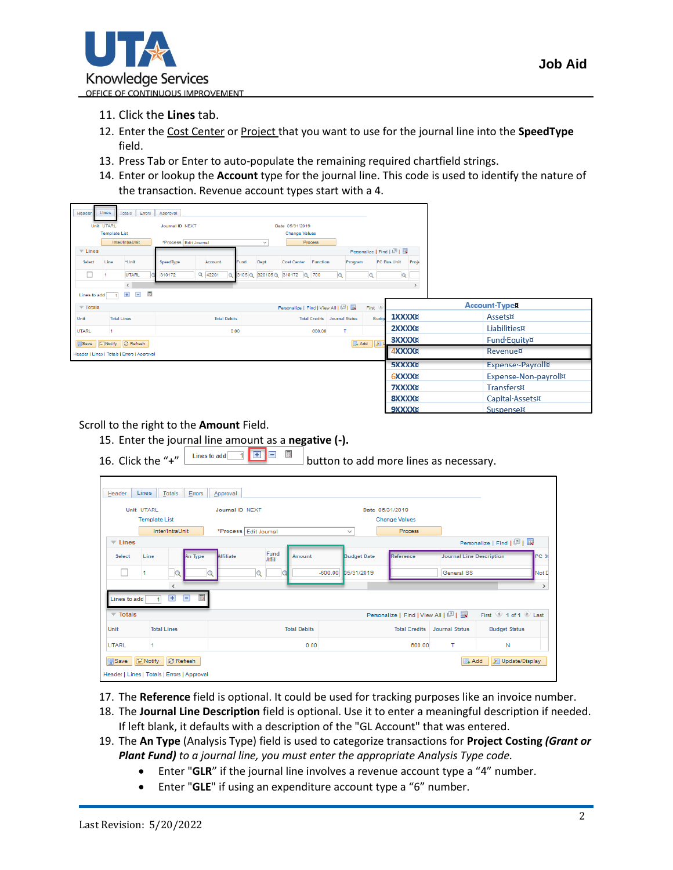

- 11. Click the **Lines** tab.
- 12. Enter the Cost Center or Project that you want to use for the journal line into the **SpeedType**  field.
- 13. Press Tab or Enter to auto-populate the remaining required chartfield strings.
- 14. Enter or lookup the **Account** type for the journal line. This code is used to identify the nature of the transaction. Revenue account types start with a 4.

| Header       | Lines                | $E$ mors<br>Totals                          | Approval              |          |                     |       |              |                                   |          |                                     |                |                        |                |                       |
|--------------|----------------------|---------------------------------------------|-----------------------|----------|---------------------|-------|--------------|-----------------------------------|----------|-------------------------------------|----------------|------------------------|----------------|-----------------------|
|              | <b>Unit UTARL</b>    |                                             | Journal ID NEXT       |          |                     |       |              | Date 05/31/2019                   |          |                                     |                |                        |                |                       |
|              | <b>Template List</b> |                                             |                       |          |                     |       |              | <b>Change Values</b>              |          |                                     |                |                        |                |                       |
|              |                      | Inter/IntraUnit                             | *Process Edit Journal |          |                     |       | $\checkmark$ |                                   | Process  |                                     |                |                        |                |                       |
| $=$ Lines    |                      |                                             |                       |          |                     |       |              |                                   |          |                                     |                | Personalize   Find   2 |                |                       |
| Select       | Line                 | *Unit                                       | SpeedType             |          | Account             | Fund  | Dept         | <b>Cost Center</b>                | Function | Program                             |                | PC Bus Unit            | Proje          |                       |
| $\Box$       | $\vert$ 1            | <b>UTARL</b>                                | 310172                | $\alpha$ | 42201               | 3105Q | 320105       | 310172 Q 700                      |          | Q                                   |                | Q                      |                |                       |
|              |                      | $\langle$                                   |                       |          |                     |       |              |                                   |          |                                     |                |                        | $\rightarrow$  |                       |
| Lines to add |                      | $\overline{\mathbb{D}}$<br>$+$<br>$=$       |                       |          |                     |       |              |                                   |          |                                     |                |                        |                |                       |
| $=$ Totals   |                      |                                             |                       |          |                     |       |              | Personalize   Find   View All   2 |          |                                     | First <b>4</b> |                        |                | <b>Account</b> -TypeN |
| Unit         | <b>Total Lines</b>   |                                             |                       |          | <b>Total Debits</b> |       |              |                                   |          | <b>Total Credits</b> Journal Status | Budge          |                        | <b>1XXXXII</b> | Assets¤               |
| <b>UTARL</b> | и                    |                                             |                       |          |                     | 0.00  |              |                                   | 600.00   | T                                   |                |                        | <b>2XXXXX</b>  | Liabilities¤          |
| Save         |                      | <b>E</b> Notify <b>C</b> Refresh            |                       |          |                     |       |              |                                   |          |                                     | Add 2U         |                        | <b>3XXXXX</b>  | <b>Fund-Equity¤</b>   |
|              |                      | Header   Lines   Totals   Errors   Approval |                       |          |                     |       |              |                                   |          |                                     |                |                        | 4XXXXX         | Revenue¤              |
|              |                      |                                             |                       |          |                     |       |              |                                   |          |                                     |                |                        | 5XXXX¤         | Expense - Payroll¤    |
|              |                      |                                             |                       |          |                     |       |              |                                   |          |                                     |                |                        | <b>6XXXXX</b>  | Expense-Non-payroll¤  |
|              |                      |                                             |                       |          |                     |       |              |                                   |          |                                     |                |                        | <b>7XXXXX</b>  | Transfers¤            |
|              |                      |                                             |                       |          |                     |       |              |                                   |          |                                     |                |                        | <b>SXXXXX</b>  | Capital Assets¤       |
|              |                      |                                             |                       |          |                     |       |              |                                   |          |                                     |                |                        | <b>9XXXXX</b>  | Suspense¤             |

Scroll to the right to the **Amount** Field.

15. Enter the journal line amount as a **negative (-).**

16. Click the "+"  $\lfloor \frac{\text{Lines to add}}{n} \rfloor$   $\lfloor \frac{m}{n} \rfloor$  button to add more lines as necessary.

| Header                          | <b>Lines</b><br>Totals<br>Errors                                     | Approval              |                         |                         |                                         |                                 |                        |
|---------------------------------|----------------------------------------------------------------------|-----------------------|-------------------------|-------------------------|-----------------------------------------|---------------------------------|------------------------|
|                                 | <b>Unit UTARL</b><br><b>Template List</b>                            | Journal ID NEXT       |                         |                         | Date 05/31/2019<br><b>Change Values</b> |                                 |                        |
|                                 | Inter/IntraUnit                                                      | *Process Edit Journal |                         | $\checkmark$            | <b>Process</b>                          |                                 |                        |
| $=$ Lines                       |                                                                      |                       |                         |                         |                                         |                                 | Personalize   Find   2 |
| <b>Select</b>                   | <b>An Type</b><br>Line                                               | Affiliate             | Fund<br>Amount<br>Affil | <b>Budget Date</b>      | Reference                               | <b>Journal Line Description</b> | PC St                  |
|                                 | $\circ$                                                              | lQ                    |                         | $-600.00$<br>05/31/2019 |                                         | General SS                      | Not D                  |
|                                 | $\checkmark$                                                         |                       |                         |                         |                                         |                                 | $\rightarrow$          |
| <b>Lines to add</b>             | īī<br>$\overline{+}$<br>$=$                                          |                       |                         |                         |                                         |                                 |                        |
| $\overline{\phantom{a}}$ Totals |                                                                      |                       |                         |                         | Personalize   Find   View All   2       |                                 | First 1 of 1 D Last    |
| Unit                            | <b>Total Lines</b>                                                   |                       | <b>Total Debits</b>     |                         | <b>Total Credits</b>                    | <b>Journal Status</b>           | <b>Budget Status</b>   |
| <b>UTARL</b>                    | 1                                                                    |                       | 0.00                    |                         | 600.00                                  | т                               | N                      |
| Save                            | C Refresh<br>PINotify<br>Header   Lines   Totals   Errors   Approval |                       |                         |                         |                                         | $\rightarrow$ Add               | Update/Display         |

- 17. The **Reference** field is optional. It could be used for tracking purposes like an invoice number.
- 18. The **Journal Line Description** field is optional. Use it to enter a meaningful description if needed. If left blank, it defaults with a description of the "GL Account" that was entered.
- 19. The **An Type** (Analysis Type) field is used to categorize transactions for **Project Costing** *(Grant or Plant Fund) to a journal line, you must enter the appropriate Analysis Type code.* 
	- Enter "**GLR**" if the journal line involves a revenue account type a "4" number.
	- Enter "**GLE**" if using an expenditure account type a "6" number.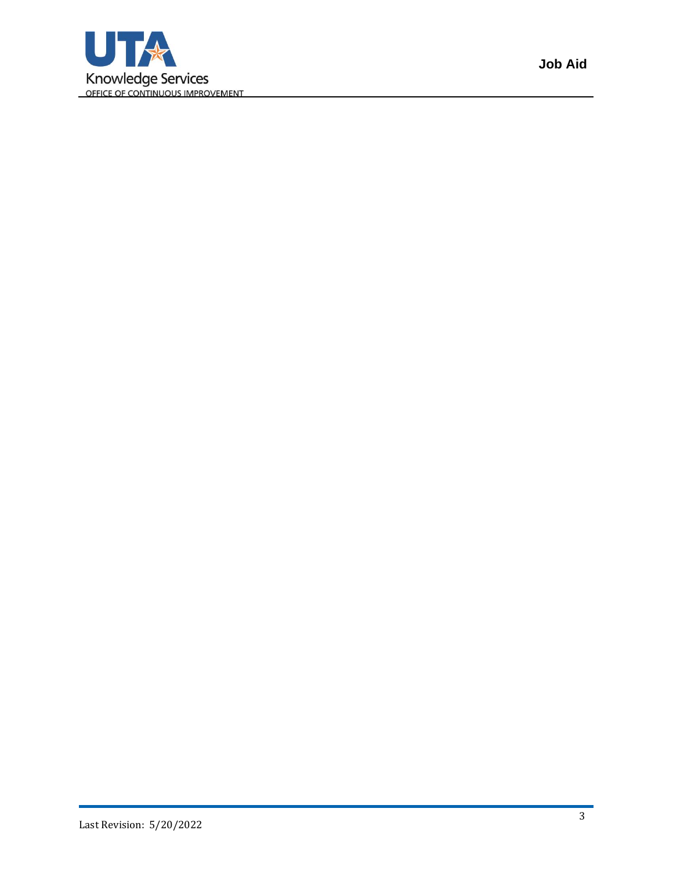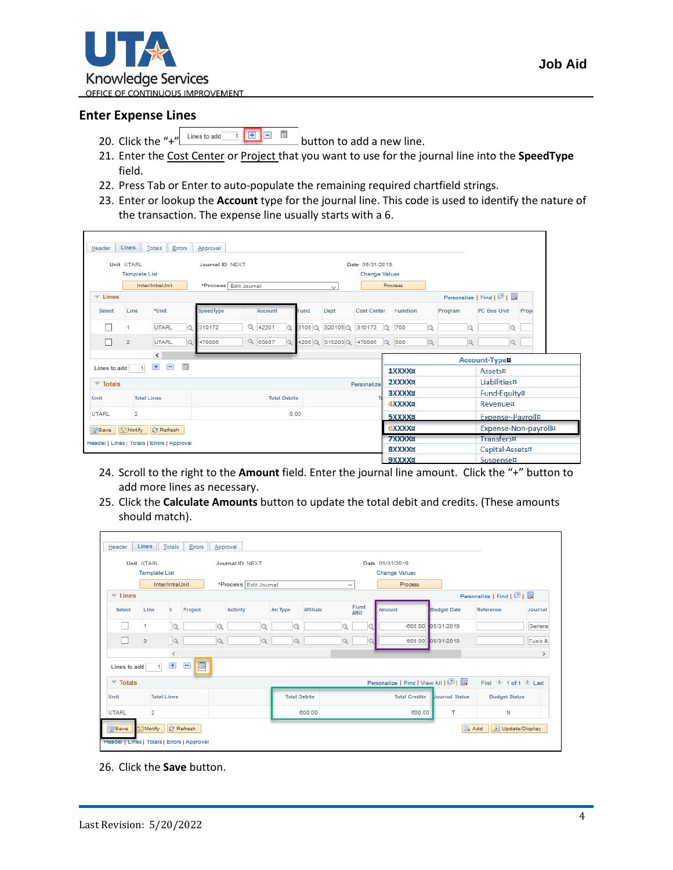

## **Enter Expense Lines**

- 20. Click the "+"  $\frac{Lines\ to\ add\ }{1}$   $\boxed{E}$   $\boxed{E}$  button to add a new line.
- 21. Enter the Cost Center or Project that you want to use for the journal line into the **SpeedType**  field.
- 22. Press Tab or Enter to auto-populate the remaining required chartfield strings.
- 23. Enter or lookup the **Account** type for the journal line. This code is used to identify the nature of the transaction. The expense line usually starts with a 6.

| Header                          | Lines                   | Totals                                      | Errors                                | Approval        |   |           |                     |                      |                          |                    |                          |                 |          |          |                        |       |  |
|---------------------------------|-------------------------|---------------------------------------------|---------------------------------------|-----------------|---|-----------|---------------------|----------------------|--------------------------|--------------------|--------------------------|-----------------|----------|----------|------------------------|-------|--|
|                                 | Unit UTARL              |                                             |                                       | Journal ID NEXT |   |           |                     |                      |                          | Date 05/31/2019    |                          |                 |          |          |                        |       |  |
| <b>Template List</b>            |                         |                                             |                                       |                 |   |           |                     | <b>Change Values</b> |                          |                    |                          |                 |          |          |                        |       |  |
|                                 |                         | Inter/IntraUnit                             | *Process Edit Journal<br>$\checkmark$ |                 |   |           |                     |                      |                          |                    | Process                  |                 |          |          |                        |       |  |
| $=$ Lines                       |                         |                                             |                                       |                 |   |           |                     |                      |                          |                    |                          |                 |          |          | Personalize   Find   2 |       |  |
| <b>Select</b>                   | Line                    | *Unit                                       |                                       | SpeedType       |   | Account   |                     | Fund                 | <b>Dept</b>              | <b>Cost Center</b> |                          | <b>Function</b> |          | Program  | <b>PC Bus Unit</b>     | Proje |  |
|                                 |                         | <b>UTARL</b>                                |                                       | 310172          | Q | 42201     |                     | 3105 Q               | 320105                   | 310172 Q           |                          | 700             | $\alpha$ | Q        | Q                      |       |  |
|                                 | $\overline{2}$          | UTARL                                       |                                       | 470086          |   | Q   63007 |                     |                      | 4200 Q 315203 Q 470086 Q |                    |                          | 500             | $\alpha$ | $\Omega$ | $\circ$                |       |  |
| $\langle$                       |                         |                                             |                                       |                 |   |           |                     |                      | <b>Account-TypeII</b>    |                    |                          |                 |          |          |                        |       |  |
| Lines to add                    |                         | $\pm$<br>$=$                                | T                                     |                 |   |           |                     |                      |                          |                    | <b>1XXXXX</b><br>Assets¤ |                 |          |          |                        |       |  |
| $\overline{\phantom{a}}$ Totals |                         |                                             |                                       |                 |   |           |                     |                      |                          | Personalize        |                          | 2XXXXX          |          |          | Liabilities¤           |       |  |
| Unit                            |                         | <b>Total Lines</b>                          |                                       |                 |   |           | <b>Total Debits</b> |                      |                          |                    |                          | <b>3XXXXX</b>   |          |          | <b>Fund-Equity¤</b>    |       |  |
|                                 |                         |                                             |                                       |                 |   |           |                     |                      |                          |                    | <b>4XXXXX</b>            |                 |          |          | Revenue¤               |       |  |
| <b>UTARL</b>                    | $\overline{\mathbf{2}}$ |                                             |                                       |                 |   |           | 0.00                |                      |                          |                    |                          | 5XXXXX          |          |          | Expense - Pavroll¤     |       |  |
| <b>Save</b>                     | F Notify                | <b>C</b> Refresh                            |                                       |                 |   |           |                     |                      |                          |                    |                          | <b>6XXXXX</b>   |          |          | Expense-Non-payroll¤   |       |  |
|                                 |                         | Header   Lines   Totals   Errors   Approval |                                       |                 |   |           |                     |                      |                          |                    |                          | <b>7XXXXX</b>   |          |          | Transfers¤             |       |  |
|                                 |                         |                                             |                                       |                 |   |           |                     |                      |                          |                    |                          | <b>SXXXXX</b>   |          |          | Capital Assets¤        |       |  |
|                                 |                         |                                             |                                       |                 |   |           |                     |                      |                          |                    |                          | <b>AXXXXA</b>   |          |          | Susnensett             |       |  |

- 24. Scroll to the right to the **Amount** field. Enter the journal line amount. Click the "+" button to add more lines as necessary.
- 25. Click the **Calculate Amounts** button to update the total debit and credits. (These amounts should match).

|                                 | Unit UTARL           |                         |         |   | Journal ID NEXT |                       |                     |                  |         |                      | Date 05/31/2019                   |                       |                        |         |
|---------------------------------|----------------------|-------------------------|---------|---|-----------------|-----------------------|---------------------|------------------|---------|----------------------|-----------------------------------|-----------------------|------------------------|---------|
|                                 | <b>Template List</b> |                         |         |   |                 |                       |                     |                  |         |                      | <b>Change Values</b>              |                       |                        |         |
|                                 |                      | Inter/IntraUnit         |         |   |                 | *Process Edit Journal |                     |                  |         | $\sim$               | Process                           |                       |                        |         |
| $=$ Lines                       |                      |                         |         |   |                 |                       |                     |                  |         |                      |                                   |                       | Personalize   Find   2 |         |
| <b>Select</b>                   | Line                 | 'n                      | Project |   | Activity        |                       | An Type             | <b>Affiliate</b> |         | Fund<br><b>Affil</b> | Amount                            | <b>Budget Date</b>    | Reference              | Journal |
|                                 | $\overline{1}$       | $\overline{\mathsf{R}}$ |         | Θ |                 | O                     |                     |                  | Θ       |                      | $-600.00$                         | 05/31/2019            |                        | Genera  |
|                                 | 3                    | $\overline{Q}$          |         |   |                 |                       |                     |                  | $\circ$ |                      | 600.00                            | 05/31/2019            |                        | Fuels & |
| Lines to add                    |                      | $\,$ $\,$<br>$+$        | E<br>E  |   |                 |                       |                     |                  |         |                      |                                   |                       |                        | Y.      |
| $\overline{\phantom{a}}$ Totals |                      |                         |         |   |                 |                       |                     |                  |         |                      | Personalize   Find   View All   8 |                       | First 1 of 1 Last      |         |
| Unit                            |                      | <b>Total Lines</b>      |         |   |                 |                       | <b>Total Debits</b> |                  |         |                      | <b>Total Credits</b>              | <b>Journal Status</b> | <b>Budget Status</b>   |         |
| <b>UTARL</b>                    | 2                    |                         |         |   |                 |                       |                     | 600.00           |         |                      | 600.00                            | т                     | N                      |         |

26. Click the **Save** button.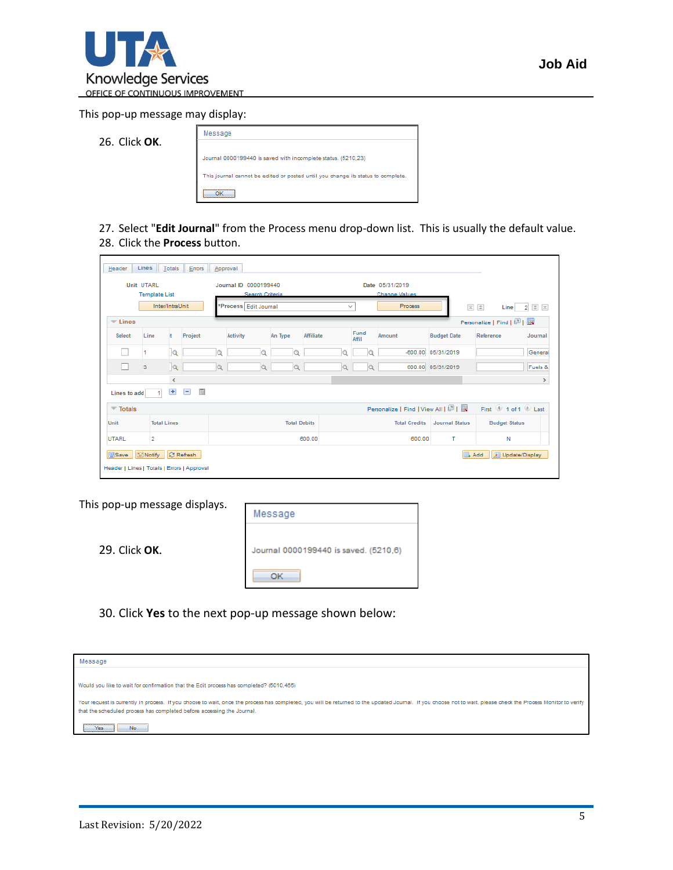

## This pop-up message may display:

|               | Message                                                                          |
|---------------|----------------------------------------------------------------------------------|
| 26. Click OK. |                                                                                  |
|               | Journal 0000199440 is saved with incomplete status. (5210,23)                    |
|               | This journal cannot be edited or posted until you change its status to complete. |
|               | --------------------------                                                       |

27. Select "**Edit Journal**" from the Process menu drop-down list. This is usually the default value. 28. Click the **Process** button.

|                                 | Unit UTARL     |                    |          |   | Journal ID 0000199440 |          |                     |                  |          | Date 05/31/2019 |                                   |                    |                        |                      |
|---------------------------------|----------------|--------------------|----------|---|-----------------------|----------|---------------------|------------------|----------|-----------------|-----------------------------------|--------------------|------------------------|----------------------|
| <b>Template List</b>            |                |                    |          |   | Search Criteria       |          |                     |                  |          | Change Values   |                                   |                    |                        |                      |
| Inter/IntraUnit                 |                |                    |          |   | *Process Edit Journal |          |                     |                  |          | $\checkmark$    | Process                           |                    | 国堂<br>Line             | $2 \n\in \mathbb{Z}$ |
| $\overline{\phantom{a}}$ Lines  |                |                    |          |   |                       |          |                     |                  |          |                 |                                   |                    | Personalize   Find   2 | R                    |
| Select                          | Line           | Ħ                  | Project  |   | Activity              |          | An Type             | <b>Affiliate</b> |          | Fund<br>Affil   | Amount                            | <b>Budget Date</b> | Reference              | Journal              |
|                                 | 1              | $\alpha$           |          | Ō |                       | lo       | Q                   |                  | $\Omega$ | Q               | $-600.00$                         | 05/31/2019         |                        | General              |
| п                               | 3              | $\overline{Q}$     |          | Q |                       | $\alpha$ | Q                   |                  | $\Omega$ | Ō               |                                   | 600.00 05/31/2019  |                        | Fuels &              |
|                                 |                | $\hat{<}$          |          |   |                       |          |                     |                  |          |                 |                                   |                    |                        | $\rightarrow$        |
| Lines to add                    |                | $+$                | Б<br>$=$ |   |                       |          |                     |                  |          |                 |                                   |                    |                        |                      |
| $\overline{\phantom{a}}$ Totals |                |                    |          |   |                       |          |                     |                  |          |                 | Personalize   Find   View All   2 |                    | First 1 of 1 D Last    |                      |
| Unit                            |                | <b>Total Lines</b> |          |   |                       |          | <b>Total Debits</b> |                  |          |                 | <b>Total Credits</b>              | Journal Status     | <b>Budget Status</b>   |                      |
| <b>UTARL</b>                    | $\overline{2}$ |                    |          |   |                       |          |                     | 600.00           |          |                 | 600.00                            | $\mathbf{T}$       | N                      |                      |

## This pop-up message displays.

29. Click **OK**.



30. Click **Yes** to the next pop-up message shown below:

| Message                                                                                                                                                                                                                                                                                   |
|-------------------------------------------------------------------------------------------------------------------------------------------------------------------------------------------------------------------------------------------------------------------------------------------|
| Would you like to wait for confirmation that the Edit process has completed? (5010,465)                                                                                                                                                                                                   |
| Your request is currently in process. If you choose to wait, once the process has completed, you will be returned to the updated Journal. If you choose not to wait, please check the Process Monitor to verify<br>that the scheduled process has completed before accessing the Journal. |
| Yes.<br>No.                                                                                                                                                                                                                                                                               |